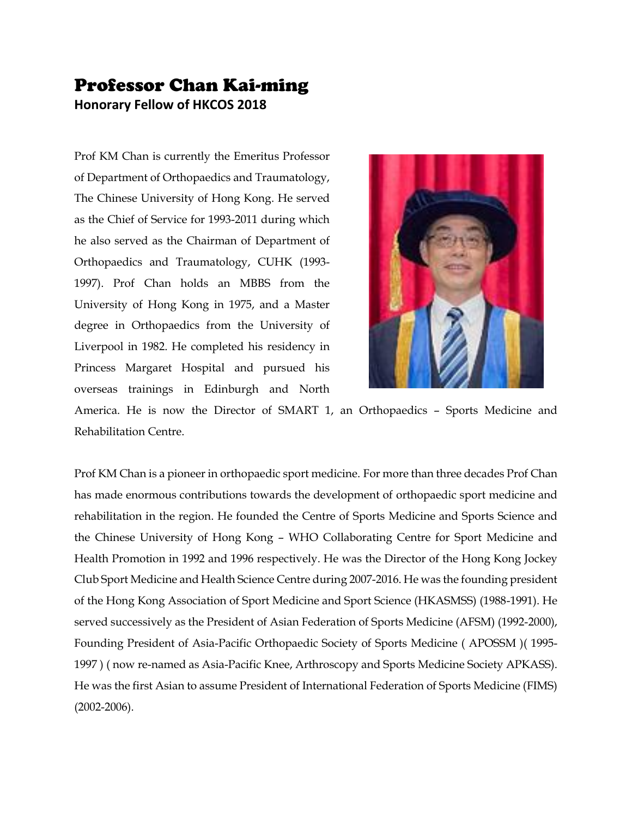## Professor Chan Kai-ming **Honorary Fellow of HKCOS 2018**

Prof KM Chan is currently the Emeritus Professor of Department of Orthopaedics and Traumatology, The Chinese University of Hong Kong. He served as the Chief of Service for 1993-2011 during which he also served as the Chairman of Department of Orthopaedics and Traumatology, CUHK (1993- 1997). Prof Chan holds an MBBS from the University of Hong Kong in 1975, and a Master degree in Orthopaedics from the University of Liverpool in 1982. He completed his residency in Princess Margaret Hospital and pursued his overseas trainings in Edinburgh and North



America. He is now the Director of SMART 1, an Orthopaedics – Sports Medicine and Rehabilitation Centre.

Prof KM Chan is a pioneer in orthopaedic sport medicine. For more than three decades Prof Chan has made enormous contributions towards the development of orthopaedic sport medicine and rehabilitation in the region. He founded the Centre of Sports Medicine and Sports Science and the Chinese University of Hong Kong – WHO Collaborating Centre for Sport Medicine and Health Promotion in 1992 and 1996 respectively. He was the Director of the Hong Kong Jockey Club Sport Medicine and Health Science Centre during 2007-2016. He was the founding president of the Hong Kong Association of Sport Medicine and Sport Science (HKASMSS) (1988-1991). He served successively as the President of Asian Federation of Sports Medicine (AFSM) (1992-2000), Founding President of Asia-Pacific Orthopaedic Society of Sports Medicine ( APOSSM )( 1995- 1997 ) ( now re-named as Asia-Pacific Knee, Arthroscopy and Sports Medicine Society APKASS). He was the first Asian to assume President of International Federation of Sports Medicine (FIMS) (2002-2006).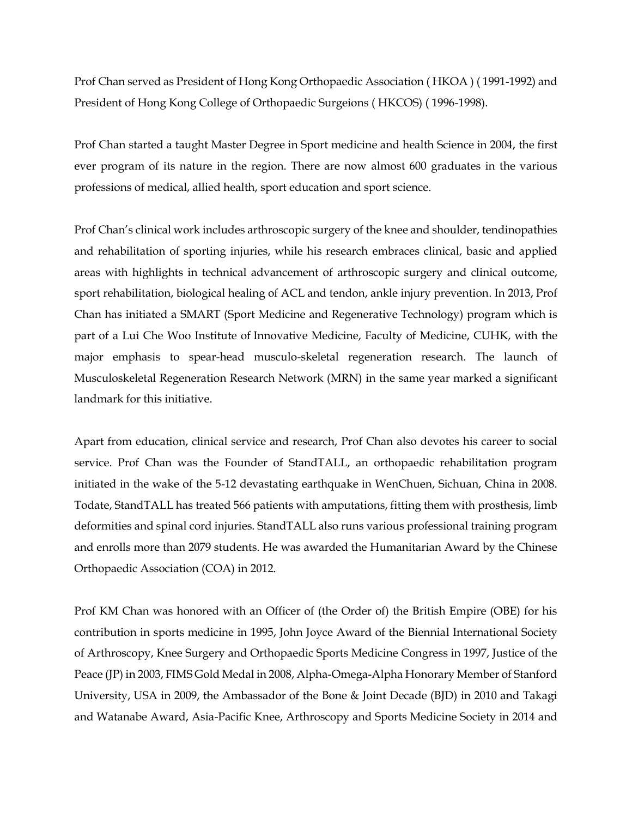Prof Chan served as President of Hong Kong Orthopaedic Association ( HKOA ) ( 1991-1992) and President of Hong Kong College of Orthopaedic Surgeions ( HKCOS) ( 1996-1998).

Prof Chan started a taught Master Degree in Sport medicine and health Science in 2004, the first ever program of its nature in the region. There are now almost 600 graduates in the various professions of medical, allied health, sport education and sport science.

Prof Chan's clinical work includes arthroscopic surgery of the knee and shoulder, tendinopathies and rehabilitation of sporting injuries, while his research embraces clinical, basic and applied areas with highlights in technical advancement of arthroscopic surgery and clinical outcome, sport rehabilitation, biological healing of ACL and tendon, ankle injury prevention. In 2013, Prof Chan has initiated a SMART (Sport Medicine and Regenerative Technology) program which is part of a Lui Che Woo Institute of Innovative Medicine, Faculty of Medicine, CUHK, with the major emphasis to spear-head musculo-skeletal regeneration research. The launch of Musculoskeletal Regeneration Research Network (MRN) in the same year marked a significant landmark for this initiative.

Apart from education, clinical service and research, Prof Chan also devotes his career to social service. Prof Chan was the Founder of StandTALL, an orthopaedic rehabilitation program initiated in the wake of the 5-12 devastating earthquake in WenChuen, Sichuan, China in 2008. Todate, StandTALL has treated 566 patients with amputations, fitting them with prosthesis, limb deformities and spinal cord injuries. StandTALL also runs various professional training program and enrolls more than 2079 students. He was awarded the Humanitarian Award by the Chinese Orthopaedic Association (COA) in 2012.

Prof KM Chan was honored with an Officer of (the Order of) the British Empire (OBE) for his contribution in sports medicine in 1995, John Joyce Award of the Biennial International Society of Arthroscopy, Knee Surgery and Orthopaedic Sports Medicine Congress in 1997, Justice of the Peace (JP) in 2003, FIMS Gold Medal in 2008, Alpha-Omega-Alpha Honorary Member of Stanford University, USA in 2009, the Ambassador of the Bone & Joint Decade (BJD) in 2010 and Takagi and Watanabe Award, Asia-Pacific Knee, Arthroscopy and Sports Medicine Society in 2014 and